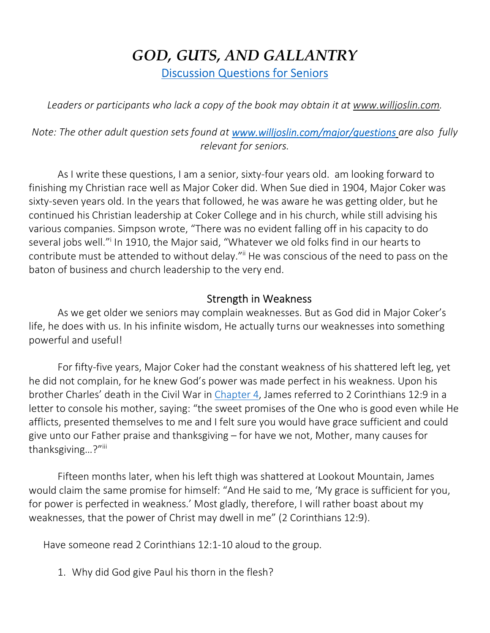# *GOD, GUTS, AND GALLANTRY*  Discussion Questions for Seniors

*Leaders or participants who lack a copy of the book may obtain it at www.willjoslin.com.* 

*Note: The other adult question sets found at www.willjoslin.com/major/questions are also fully relevant for seniors.* 

As I write these questions, I am a senior, sixty-four years old. am looking forward to finishing my Christian race well as Major Coker did. When Sue died in 1904, Major Coker was sixty-seven years old. In the years that followed, he was aware he was getting older, but he continued his Christian leadership at Coker College and in his church, while still advising his various companies. Simpson wrote, "There was no evident falling off in his capacity to do several jobs well."<sup>i</sup> In 1910, the Major said, "Whatever we old folks find in our hearts to contribute must be attended to without delay."ii He was conscious of the need to pass on the baton of business and church leadership to the very end.

#### Strength in Weakness

As we get older we seniors may complain weaknesses. But as God did in Major Coker's life, he does with us. In his infinite wisdom, He actually turns our weaknesses into something powerful and useful!

For fifty-five years, Major Coker had the constant weakness of his shattered left leg, yet he did not complain, for he knew God's power was made perfect in his weakness. Upon his brother Charles' death in the Civil War in Chapter 4, James referred to 2 Corinthians 12:9 in a letter to console his mother, saying: "the sweet promises of the One who is good even while He afflicts, presented themselves to me and I felt sure you would have grace sufficient and could give unto our Father praise and thanksgiving – for have we not, Mother, many causes for thanksgiving...?"iii

Fifteen months later, when his left thigh was shattered at Lookout Mountain, James would claim the same promise for himself: "And He said to me, 'My grace is sufficient for you, for power is perfected in weakness.' Most gladly, therefore, I will rather boast about my weaknesses, that the power of Christ may dwell in me" (2 Corinthians 12:9).

Have someone read 2 Corinthians 12:1-10 aloud to the group.

1. Why did God give Paul his thorn in the flesh?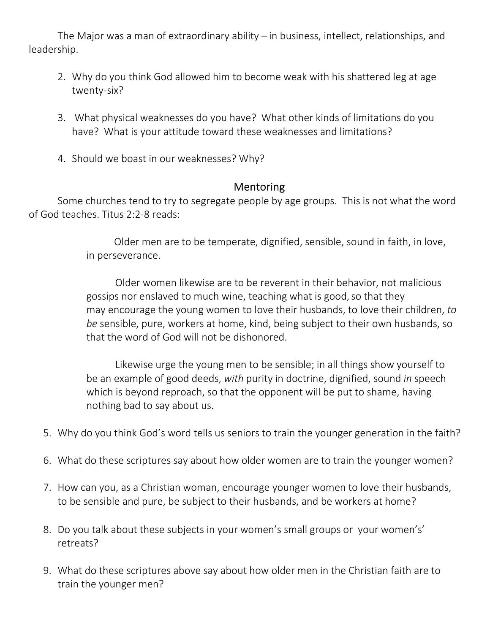The Major was a man of extraordinary ability – in business, intellect, relationships, and leadership.

- 2. Why do you think God allowed him to become weak with his shattered leg at age twenty-six?
- 3. What physical weaknesses do you have? What other kinds of limitations do you have? What is your attitude toward these weaknesses and limitations?
- 4. Should we boast in our weaknesses? Why?

#### Mentoring

Some churches tend to try to segregate people by age groups. This is not what the word of God teaches. Titus 2:2-8 reads:

> Older men are to be temperate, dignified, sensible, sound in faith, in love, in perseverance.

Older women likewise are to be reverent in their behavior, not malicious gossips nor enslaved to much wine, teaching what is good, so that they may encourage the young women to love their husbands, to love their children, *to be* sensible, pure, workers at home, kind, being subject to their own husbands, so that the word of God will not be dishonored.

Likewise urge the young men to be sensible; in all things show yourself to be an example of good deeds, *with* purity in doctrine, dignified, sound *in* speech which is beyond reproach, so that the opponent will be put to shame, having nothing bad to say about us.

- 5. Why do you think God's word tells us seniors to train the younger generation in the faith?
- 6. What do these scriptures say about how older women are to train the younger women?
- 7. How can you, as a Christian woman, encourage younger women to love their husbands, to be sensible and pure, be subject to their husbands, and be workers at home?
- 8. Do you talk about these subjects in your women's small groups or your women's' retreats?
- 9. What do these scriptures above say about how older men in the Christian faith are to train the younger men?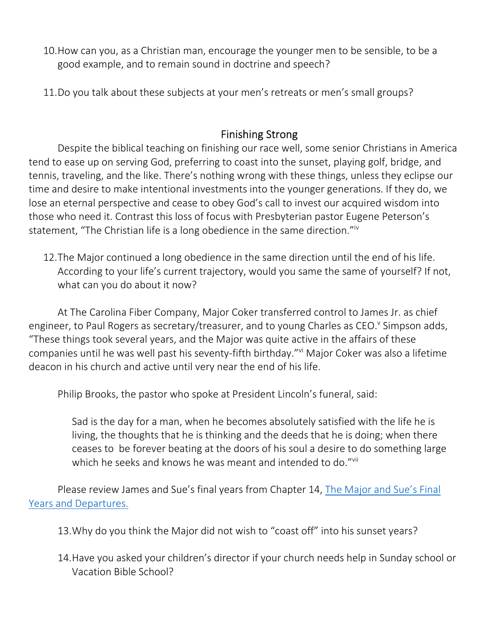- 10.How can you, as a Christian man, encourage the younger men to be sensible, to be a good example, and to remain sound in doctrine and speech?
- 11.Do you talk about these subjects at your men's retreats or men's small groups?

### Finishing Strong

Despite the biblical teaching on finishing our race well, some senior Christians in America tend to ease up on serving God, preferring to coast into the sunset, playing golf, bridge, and tennis, traveling, and the like. There's nothing wrong with these things, unless they eclipse our time and desire to make intentional investments into the younger generations. If they do, we lose an eternal perspective and cease to obey God's call to invest our acquired wisdom into those who need it. Contrast this loss of focus with Presbyterian pastor Eugene Peterson's statement, "The Christian life is a long obedience in the same direction."<sup>iv</sup>

12.The Major continued a long obedience in the same direction until the end of his life. According to your life's current trajectory, would you same the same of yourself? If not, what can you do about it now?

At The Carolina Fiber Company, Major Coker transferred control to James Jr. as chief engineer, to Paul Rogers as secretary/treasurer, and to young Charles as CEO.<sup>v</sup> Simpson adds, "These things took several years, and the Major was quite active in the affairs of these companies until he was well past his seventy-fifth birthday."vi Major Coker was also a lifetime deacon in his church and active until very near the end of his life.

Philip Brooks, the pastor who spoke at President Lincoln's funeral, said:

Sad is the day for a man, when he becomes absolutely satisfied with the life he is living, the thoughts that he is thinking and the deeds that he is doing; when there ceases to be forever beating at the doors of his soul a desire to do something large which he seeks and knows he was meant and intended to do."<sup>vii</sup>

Please review James and Sue's final years from Chapter 14, The Major and Sue's Final Years and Departures.

- 13.Why do you think the Major did not wish to "coast off" into his sunset years?
- 14.Have you asked your children's director if your church needs help in Sunday school or Vacation Bible School?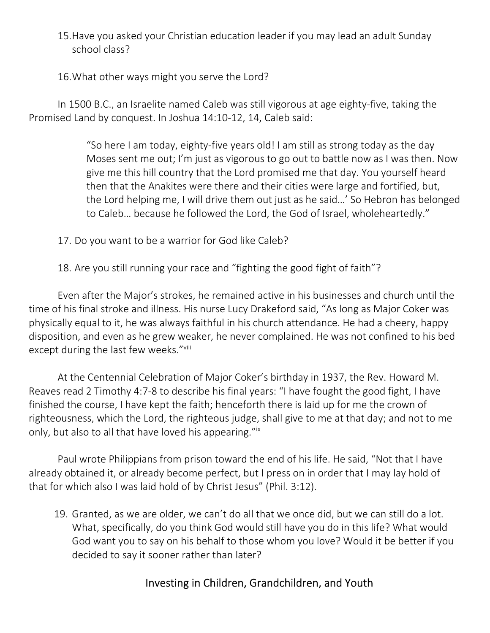- 15.Have you asked your Christian education leader if you may lead an adult Sunday school class?
- 16.What other ways might you serve the Lord?

In 1500 B.C., an Israelite named Caleb was still vigorous at age eighty-five, taking the Promised Land by conquest. In Joshua 14:10-12, 14, Caleb said:

> "So here I am today, eighty-five years old! I am still as strong today as the day Moses sent me out; I'm just as vigorous to go out to battle now as I was then. Now give me this hill country that the Lord promised me that day. You yourself heard then that the Anakites were there and their cities were large and fortified, but, the Lord helping me, I will drive them out just as he said…' So Hebron has belonged to Caleb… because he followed the Lord, the God of Israel, wholeheartedly."

- 17. Do you want to be a warrior for God like Caleb?
- 18. Are you still running your race and "fighting the good fight of faith"?

Even after the Major's strokes, he remained active in his businesses and church until the time of his final stroke and illness. His nurse Lucy Drakeford said, "As long as Major Coker was physically equal to it, he was always faithful in his church attendance. He had a cheery, happy disposition, and even as he grew weaker, he never complained. He was not confined to his bed except during the last few weeks."Vill

At the Centennial Celebration of Major Coker's birthday in 1937, the Rev. Howard M. Reaves read 2 Timothy 4:7-8 to describe his final years: "I have fought the good fight, I have finished the course, I have kept the faith; henceforth there is laid up for me the crown of righteousness, which the Lord, the righteous judge, shall give to me at that day; and not to me only, but also to all that have loved his appearing."ix

Paul wrote Philippians from prison toward the end of his life. He said, "Not that I have already obtained it, or already become perfect, but I press on in order that I may lay hold of that for which also I was laid hold of by Christ Jesus" (Phil. 3:12).

19. Granted, as we are older, we can't do all that we once did, but we can still do a lot. What, specifically, do you think God would still have you do in this life? What would God want you to say on his behalf to those whom you love? Would it be better if you decided to say it sooner rather than later?

## Investing in Children, Grandchildren, and Youth